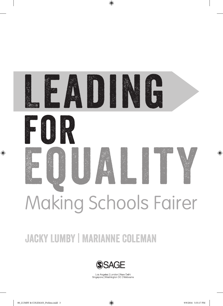

 $\bigoplus$ 

# Jacky Lumby | Marianne Coleman



Los Angeles | London | New Delhi<br>Singapore | Washington DC | Melbourne

⊕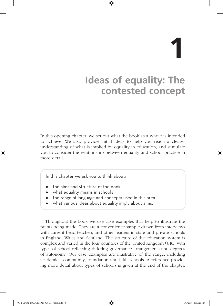# **1**

# **Ideas of equality: The contested concept**

In this opening chapter, we set out what the book as a whole is intended to achieve. We also provide initial ideas to help you reach a clearer understanding of what is implied by equality in education, and stimulate you to consider the relationship between equality and school practice in more detail.

 $\bigoplus$ 

In this chapter we ask you to think about:

- the aims and structure of the book
- what equality means in schools
- the range of language and concepts used in this area
- what various ideas about equality imply about aims.

Throughout the book we use case examples that help to illustrate the points being made. They are a convenience sample drawn from interviews with current head teachers and other leaders in state and private schools in England, Wales and Scotland. The structure of the education system is complex and varied in the four countries of the United Kingdom (UK), with types of school reflecting differing governance arrangements and degrees of autonomy. Our case examples are illustrative of the range, including academies, community, foundation and faith schools. A reference providing more detail about types of schools is given at the end of the chapter.

⊕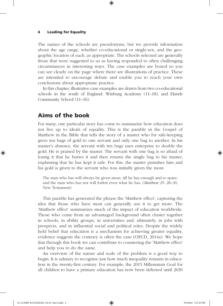The names of the schools are pseudonyms, but we provide information about the age range, whether co-educational or single-sex, and the geographic location of each, as appropriate. The schools selected are generally those that were suggested to us as having responded to often challenging circumstances in interesting ways. The case examples are boxed so you can see clearly on the page where there are illustrations of practice. These are intended to encourage debate and enable you to reach your own conclusions about appropriate practice.

⊕

In this chapter, illustrative case examples are drawn from two co-educational schools in the south of England: Winburg Academy (11–18), and Elands Community School (11–16).

# Aims of the book

♠

For many, one particular story has come to summarize how education does not live up to ideals of equality. This is the parable in the Gospel of Matthew in the Bible that tells the story of a master who for safe-keeping gives ten bags of gold to one servant and only one bag to another. In his master's absence, the servant with ten bags uses enterprise to double the gold. He is praised by the master. The servant with one bag is so afraid of losing it that he buries it and then returns the single bag to his master, explaining that he has kept it safe. For this, the master punishes him and his gold is given to the servant who was initially given the most:

The man who has will always be given more, till he has enough and to spare; and the man who has not will forfeit even what he has. (*Matthew* 25: 28–30, New Testament)

This parable has generated the phrase the 'Matthew effect', capturing the idea that those who have most can generally use it to get more. The 'Matthew effect' summarizes much of the impact of education worldwide. Those who come from an advantaged background often cluster together in schools, in ability groups, in universities and, ultimately, in jobs with prospects, and in influential social and political roles. Despite the widely held belief that education is a mechanism for achieving greater equality, evidence suggests the contrary is often the case (OECD, 2014a). We hope that through this book we can contribute to countering the 'Matthew effect' and help you to do the same.

An overview of the nature and scale of the problem is a good way to begin. It is salutary to recognize just how much inequality remains in education in the twenty-first century. For example, the 2015 Millennium Goal for all children to have a primary education has now been deferred until 2030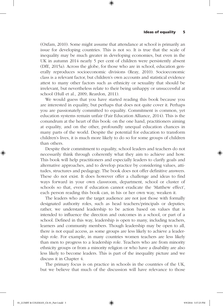(Oxfam, 2010). Some might assume that attendance at school is primarily an issue for developing countries. This is not so. It is true that the scale of inequality may be much greater in developing economies, but even in the UK in autumn 2014 nearly 5 per cent of children were persistently absent (DfE, 2015a). Across the globe, for those who are in school, education generally reproduces socioeconomic divisions (Reay, 2010). Socioeconomic class is a relevant factor, but children's own accounts and statistical evidence attest to many other factors such as ethnicity or sexuality that should be irrelevant, but nevertheless relate to their being unhappy or unsuccessful at school (Hull et al., 2009; Reardon, 2011).

 $\textcircled{\scriptsize{*}}$ 

We would guess that you have started reading this book because you are interested in equality, but perhaps that does not quite cover it. Perhaps you are passionately committed to equality. Commitment is common, yet education systems remain unfair (Fair Education Alliance, 2014). This is the conundrum at the heart of this book: on the one hand, practitioners aiming at equality, and on the other, profoundly unequal education chances in many parts of the world. Despite the potential for education to transform children's lives, it is much more likely to do so for some groups of children than others.

Despite their commitment to equality, school leaders and teachers do not necessarily think through coherently what they aim to achieve and how. This book will help practitioners and especially leaders to clarify goals and alternative approaches, and to develop practice by considering values, attitudes, structures and pedagogy. The book does not offer definitive answers. These do not exist. It does however offer a challenge and ideas to find ways forward in your own classroom, department, school or cluster of schools so that, even if education cannot eradicate the 'Matthew effect', each person reading this book can, in his or her own way, weaken it.

The leaders who are the target audience are not just those with formally designated authority roles, such as head teachers/principals or deputies; rather, we understand leadership to be action based on values that is intended to influence the direction and outcomes in a school, or part of a school. Defined in this way, leadership is open to many, including teachers, learners and community members. Though leadership may be open to all, there is not equal access, as some groups are less likely to achieve a leadership role. For example, in many countries women teachers are less likely than men to progress to a leadership role. Teachers who are from minority ethnicity groups or from a minority religion or who have a disability are also less likely to become leaders. This is part of the inequality picture and we discuss it in Chapter 4.

The primary focus is on practice in schools in the countries of the UK, but we believe that much of the discussion will have relevance to those

01\_LUMBY & COLEMAN\_Ch-01\_Part I.indd 5 9/9/2016 5:57:25 PM

⊕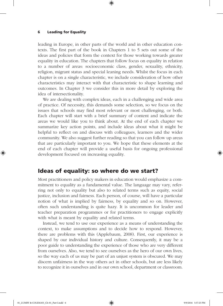leading in Europe, in other parts of the world and in other education contexts. The first part of the book in Chapters 1 to 5 sets out some of the ideas and policies that form the context for those working towards greater equality in education. The chapters that follow focus on equality in relation to a number of areas: socioeconomic class, gender, sexuality, ethnicity, religion, migrant status and special leaning needs. Whilst the focus in each chapter is on a single characteristic, we include consideration of how other characteristics may interact with that characteristic to shape learning and outcomes. In Chapter 3 we consider this in more detail by exploring the idea of intersectionality.

⊕

We are dealing with complex ideas, each in a challenging and wide area of practice. Of necessity, this demands some selection, so we focus on the issues that schools may find most relevant or most challenging, or both. Each chapter will start with a brief summary of content and indicate the areas we would like you to think about. At the end of each chapter we summarize key action points, and include ideas about what it might be helpful to reflect on and discuss with colleagues, learners and the wider community. We also suggest further reading so that you can follow up areas that are particularly important to you. We hope that these elements at the end of each chapter will provide a useful basis for ongoing professional development focused on increasing equality.

# Ideas of equality: so where do we start?

Most practitioners and policy makers in education would emphasize a commitment to equality as a fundamental value. The language may vary, referring not only to equality but also to related terms such as equity, social justice, inclusion and fairness. Each person, of course, will have a particular notion of what is implied by fairness, by equality and so on. However, often such understanding is quite hazy. It is uncommon for leader and teacher preparation programmes or for practitioners to engage explicitly with what is meant by equality and related terms.

Instead, we tend to use our experience as a means of understanding the context, to make assumptions and to decide how to respond. However, there are problems with this (Applebaum, 2008). First, our experience is shaped by our individual history and culture. Consequently, it may be a poor guide to understanding the experience of those who are very different from ourselves. Also, we tend to see ourselves as the hero of our own lives, so the way each of us may be part of an unjust system is obscured. We may discern unfairness in the way others act in other schools, but are less likely to recognize it in ourselves and in our own school, department or classroom.

⊕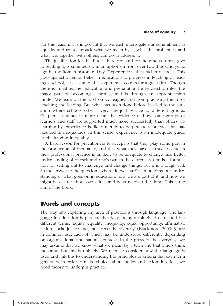For this reason, it is important that we each interrogate our commitment to equality and try to unpack what we mean by it, what the problem is and what we, together with others, can do to address it.

 $\textcircled{\scriptsize{*}}$ 

The justification for this book, therefore, and for the time you may give to reading it, is summed up in an aphorism from over two thousand years ago by the Roman historian, Livy: 'Experience is the teacher of fools'. This goes against a central belief in education: to progress in teaching or leading a school, it is assumed that experience counts for a great deal. Though there is initial teacher education and preparation for leadership roles, the major part of becoming a professional is through an apprenticeship model. We learn on the job from colleagues and from practising the art of teaching and leading. But what has been done before has led to the situation where schools offer a very unequal service to different groups. Chapter 4 outlines in more detail the evidence of how some groups of learners and staff are supported much more successfully than others. So learning by experience is likely merely to perpetuate a practice that has resulted in inequalities. In this sense, experience is an inadequate guide to challenging inequality.

A hard lesson for practitioners to accept is that they play some part in the production of inequality, and that what they have learned to date in their professional practice is unlikely to be adequate to change this. Better understanding of oneself and one's part in the current system is a foundation for setting out to challenge and change things, but it is a tough call. So the answer to the question, 'where do we start?' is in building our understanding of what goes on in education, how we are part of it, and how we might be clearer about our values and what needs to be done. This is the aim of the book.

# Words and concepts

The way into exploring any area of practice is through language. The language in education is particularly tricky, being a minefield of related but different terms. 'Equity, equality, inequality, equal opportunity, affirmative action, social justice and, most recently, diversity' (Blackmore, 2009: 3) are in common use, each of which may be understood differently depending on organizational and national context. In the press of the everyday, we may assume that we know what we mean by a term and that others think the same, but this is unlikely. We need to consider how the language is used and link this to understanding the principles or criteria that each term generates, in order to make choices about policy and action; in effect, we need theory to underpin practice.

01\_LUMBY & COLEMAN\_Ch-01\_Part I.indd 7 9/9/2016 5:57:25 PM

♠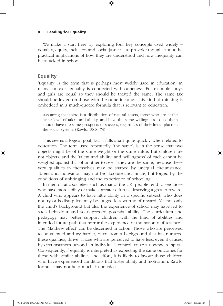We make a start here by exploring four key concepts used widely – equality, equity, inclusion and social justice – to provoke thought about the practical implications of how they are understood and how inequality can be attacked in schools.

 $\textcircled{\scriptsize{*}}$ 

### **Equality**

♠

'Equality' is the term that is perhaps most widely used in education. In many contexts, equality is connected with sameness. For example, boys and girls are equal so they should be treated the same. The same tax should be levied on those with the same income. This kind of thinking is embedded in a much-quoted formula that is relevant to education:

Assuming that there is a distribution of natural assets, those who are at the same level of talent and ability, and have the same willingness to use them should have the same prospects of success, regardless of their initial place in the social system. (Rawls, 1968: 73)

This seems a logical goal, but it falls apart quite quickly when related to education. The term used repeatedly, 'the same', is in the sense that two objects might be of the same weight or the same value. But children are not objects, and the 'talent and ability' and 'willingness' of each cannot be weighed against that of another to see if they are the same, because these very qualities in themselves may be shaped by unequal circumstance. Talent and motivation may not be absolute and innate, but forged by the conditions of upbringing and the experience of schooling.

In meritocratic societies such as that of the UK, people tend to see those who have more ability or make a greater effort as deserving a greater reward. A child who appears to have little ability in a specific subject, who does not try or is disruptive, may be judged less worthy of reward. Yet not only the child's background but also the experience of school may have led to such behaviour and so depressed potential ability. The curriculum and pedagogy may better support children with the kind of abilities and intended future path that mirror the experience of the majority of teachers. The 'Matthew effect' can be discerned in action. Those who are perceived to be talented and try harder, often from a background that has nurtured these qualities, thrive. Those who are perceived to have less, even if caused by circumstances beyond an individual's control, enter a downward spiral. Consequently, if equality is interpreted as expecting the same outcomes for those with similar abilities and effort, it is likely to favour those children who have experienced conditions that foster ability and motivation. Rawls' formula may not help much, in practice.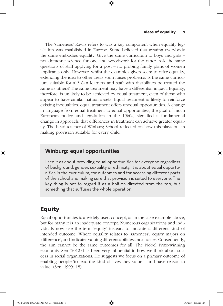The 'sameness' Rawls refers to was a key component when equality legislation was established in Europe. Some believed that treating everybody the same embodies equality. Give the same curriculum to boys and girls – not domestic science for one and woodwork for the other. Ask the same questions of staff applying for a post – no probing family plans of women applicants only. However, whilst the examples given seem to offer equality, extending the idea to other areas soon raises problems. Is the same curriculum suitable for all? Can learners and staff with disabilities be treated the same as others? The same treatment may have a differential impact. Equality, therefore, is unlikely to be achieved by equal treatment, even of those who appear to have similar natural assets. Equal treatment is likely to reinforce existing inequalities: equal treatment offers unequal opportunities. A change in language from equal treatment to equal opportunities, the goal of much European policy and legislation in the 1960s, signalled a fundamental change in approach: that differences in treatment can achieve greater equality. The head teacher of Winburg School reflected on how this plays out in making provision suitable for every child:

 $\textcircled{\scriptsize{*}}$ 

# **Winburg: equal opportunities**

I see it as about providing equal opportunities for everyone regardless of background, gender, sexuality or ethnicity. It is about equal opportunities in the curriculum, for outcomes and for accessing different parts of the school and making sure that provision is suited to everyone. The key thing is not to regard it as a bolt-on directed from the top, but something that suffuses the whole operation.

# Equity

♠

Equal opportunities is a widely used concept, as in the case example above, but for many it is an inadequate concept. Numerous organizations and individuals now use the term 'equity' instead, to indicate a different kind of intended outcome. Where equality relates to 'sameness', equity majors on 'difference', and indicates valuing different abilities and choices. Consequently, the aim cannot be the same outcomes for all. The Nobel Prize-winning economist Sen (2012) has been very influential in how we think about success in social organizations. He suggests we focus on a primary outcome of enabling people 'to lead the kind of lives they value – and have reason to value' (Sen, 1999: 18).

01\_LUMBY & COLEMAN\_Ch-01\_Part I.indd 9 9/9/2016 5:57:25 PM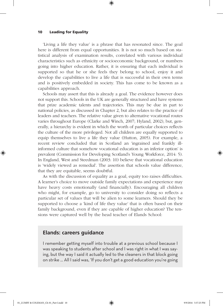'Living a life they value' is a phrase that has resonated since. The goal here is different from equal opportunities. It is not so much based on statistical analysis of examination results, correlated with various individual characteristics such as ethnicity or socioeconomic background, or numbers going into higher education. Rather, it is ensuring that each individual is supported so that he or she feels they belong to school, enjoy it and develop the capabilities to live a life that is successful in their own terms and is positively embedded in society. This has come to be known as a capabilities approach.

⊕

Schools may assert that this is already a goal. The evidence however does not support this. Schools in the UK are generally structured and have systems that prize academic talents and trajectories. This may be due in part to national policies, as discussed in Chapter 2, but also relates to the practice of leaders and teachers. The relative value given to alternative vocational routes varies throughout Europe (Clarke and Winch, 2007; Hyland, 2002), but, generally, a hierarchy is evident in which the worth of particular choices reflects the culture of the more privileged. Not all children are equally supported to equip themselves to live a life they value (Hutton, 2005). For example, a recent review concluded that in Scotland an 'ingrained and frankly illinformed culture that somehow vocational education is an inferior option' is prevalent (Commission for Developing Scotland's Young Workforce, 2014: 5). In England, West and Steedman (2003: 10) believe that vocational education is 'widely viewed as remedial'. The assertion that schools value difference, that they are equitable, seems doubtful.

As with the discussion of equality as a goal, equity too raises difficulties. A learner's choice to move outside family expectations and experience may have heavy costs emotionally (and financially). Encouraging all children who might, for example, go to university to consider doing so reflects a particular set of values that will be alien to some learners. Should they be supported to choose a 'kind of life they value' that is often based on their family background, even if they are capable of higher education? The tensions were captured well by the head teacher of Elands School:

## **Elands: careers guidance**

I remember getting myself into trouble at a previous school because I was speaking to students after school and I was right in what I was saying, but the way I said it actually led to the cleaners in that block going on strike ... All I said was, 'If you don't get a good education you're going

♠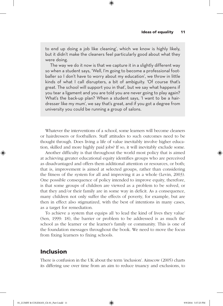to end up doing a job like cleaning', which we know is highly likely, but it didn't make the cleaners feel particularly good about what they were doing.

 $\textcircled{\scriptsize{*}}$ 

The way we do it now is that we capture it in a slightly different way so when a student says, 'Well, I'm going to become a professional footballer so I don't have to worry about my education', we throw in little kinds of what I call disrupters, a bit of ambiguity. 'Of course that's great. The school will support you in that', but we say what happens if you tear a ligament and you are told you are never going to play again? What's the back-up plan? When a student says, 'I want to be a hairdresser like my mum', we say that's great, and if you got a degree from university you could be running a group of salons.

Whatever the interventions of a school, some learners will become cleaners or hairdressers or footballers. Staff attitudes to such outcomes need to be thought through. Does living a life of value inevitably involve higher education, skilled and more highly paid jobs? If so, it will inevitably exclude some.

Another difficulty is that throughout the world most policy that is aimed at achieving greater educational equity identifies groups who are perceived as disadvantaged and offers them additional attention or resources, or both; that is, improvement is aimed at selected groups, rather than considering the fitness of the system for all and improving it as a whole (Levin, 2003). One possible consequence of policy intended to improve equity, therefore, is that some groups of children are viewed as a problem to be solved, or that they and/or their family are in some way in deficit. As a consequence, many children not only suffer the effects of poverty, for example, but are then in effect also stigmatized, with the best of intentions in many cases, as a target for remediation.

To achieve a system that equips all 'to lead the kind of lives they value' (Sen, 1999: 18), the barrier or problem to be addressed is as much the school as the learner or the learner's family or community. This is one of the foundation messages throughout the book. We need to move the focus from fixing learners to fixing schools.

# Inclusion

There is confusion in the UK about the term 'inclusion'. Ainscow (2005) charts its differing use over time from an aim to reduce truancy and exclusions, to

♠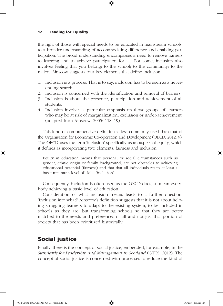the right of those with special needs to be educated in mainstream schools, to a broader understanding of accommodating difference and enabling participation. The broad understanding encompasses a need to remove barriers to learning and to achieve participation for all. For some, inclusion also involves feeling that you belong: to the school; to the community; to the nation. Ainscow suggests four key elements that define inclusion:

 $\textcircled{\scriptsize{*}}$ 

- 1. Inclusion is a process. That is to say, inclusion has to be seen as a neverending search.
- 2. Inclusion is concerned with the identification and removal of barriers.
- 3. Inclusion is about the presence, participation and achievement of all students.
- 4. Inclusion involves a particular emphasis on those groups of learners who may be at risk of marginalization, exclusion or under-achievement. (adapted from Ainscow, 2005: 118–19)

This kind of comprehensive definition is less commonly used than that of the Organisation for Economic Co-operation and Development (OECD, 2012: 9). The OECD uses the term 'inclusion' specifically as an aspect of equity, which it defines as incorporating two elements: fairness and inclusion:

Equity in education means that personal or social circumstances such as gender, ethnic origin or family background, are not obstacles to achieving educational potential (fairness) and that that all individuals reach at least a basic minimum level of skills (inclusion).

Consequently, inclusion is often used as the OECD does, to mean everybody achieving a basic level of education.

Consideration of what inclusion means leads to a further question: 'Inclusion into what?' Ainscow's definition suggests that it is not about helping struggling learners to adapt to the existing system, to be included in schools as they are, but transforming schools so that they are better matched to the needs and preferences of all and not just that portion of society that has been prioritized historically.

# Social justice

Finally, there is the concept of social justice, embedded, for example, in the *Standards for Leadership and Management in Scotland* (GTCS, 2012). The concept of social justice is concerned with processes to reduce the kind of

♠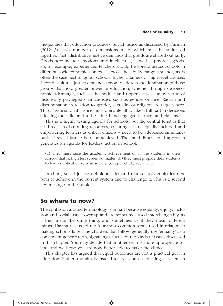inequalities that education produces. Social justice as discussed by Furman (2012: 3) has a number of dimensions, all of which must be addressed together. First, 'distributive' justice demands that goods are shared out fairly. Goods here include emotional and intellectual, as well as physical, goods. So, for example, experienced teachers should be spread across schools in different socioeconomic contexts, across the ability range and not, as is often the case, just to 'good' schools, higher attainers or high-level courses. Second, 'cultural' justice demands action to address the domination of those groups that hold greater power in education, whether through socioeconomic advantage, such as the middle and upper classes, or by virtue of historically privileged characteristics such as gender or race. Racism and discrimination in relation to gender, sexuality or religion are targets here. Third, 'associational' justice aims to enable all to take a full part in decisions affecting their life, and to be critical and engaged learners and citizens.

 $\textcircled{\scriptsize{*}}$ 

This is a highly testing agenda for schools, but the central tenet is that all three – redistributing resources, ensuring all are equally included and empowering learners as critical citizens – need to be addressed simultaneously if social justice is to be achieved. The multi-dimensional approach generates an agenda for leaders' action in school:

(a) They must raise the academic achievement of all the students in their school, that is, high test scores do matter; (b) they must prepare their students to live as critical citizens in society. (Capper et al., 2007: 111)

In short, social justice definitions demand that schools equip learners both to achieve in the current system and to challenge it. This is a second key message in the book.

## So where to now?

The confusion around terminology is in part because equality, equity, inclusion and social justice overlap and are sometimes used interchangeably, as if they mean the same thing, and sometimes as if they mean different things. Having discussed the four most common terms used in relation to making schools fairer, the chapters that follow generally use 'equality' as a convenient generic term, signalling a focus on the kinds of issues discussed in this chapter. You may decide that another term is more appropriate for you, and we hope you are now better able to make the choice.

This chapter has argued that equal outcomes are not a practical goal in education. Rather, the aim is instead to focus on establishing a system in

♠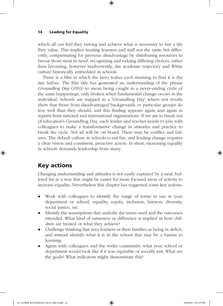which all can feel they belong and achieve what is necessary to live a life they value. This implies treating learners and staff not the same but differently, compensating for previous disadvantage by distributing resources to favour those most in need, recognizing and valuing differing choices, rather than favouring, however inadvertently, the academic trajectory and White culture historically embedded in schools.

 $\textcircled{\scriptsize{*}}$ 

There is a film in which the hero wakes each morning to find it is the day before. The film title has generated an understanding of the phrase *Groundhog Day* (1993) to mean being caught in a never-ending cycle of the same happenings, only broken when fundamental change occurs in the individual. Schools are trapped in a 'Groundhog Day' where test results show that those from disadvantaged backgrounds or particular groups do less well than they should, and this finding appears again and again in reports from national and international organizations. If we are to break out of education's Groundhog Day, each leader and teacher needs to join with colleagues to make a transformative change in attitudes and practice to break the cycle. Not all will be on board. There may be conflict and failures. The default culture in schools is not fair, and leading change requires a clear vision and consistent, proactive action. In short, increasing equality in schools demands leadership from many.

# Key actions

♠

Changing understanding and attitudes is not easily captured by a neat, bulleted list in a way that might be easier for more focused areas of activity to increase equality. Nevertheless this chapter has suggested some key actions:

- Work with colleagues to identify the range of terms in use in your department or school: equality, equity, inclusion, fairness, diversity, social justice, etc.
- Identify the assumptions that underlie the terms used and the outcomes intended. What kind of sameness or difference is implied in how children are treated or what they achieve?
- Challenge thinking that sees learners or their families as being in deficit, and instead identify what it is in the school that may be a barrier to learning.
- Agree with colleagues and the wider community what your school or department would look like if it was equitable or socially just. What are the goals? What indicators might demonstrate this?